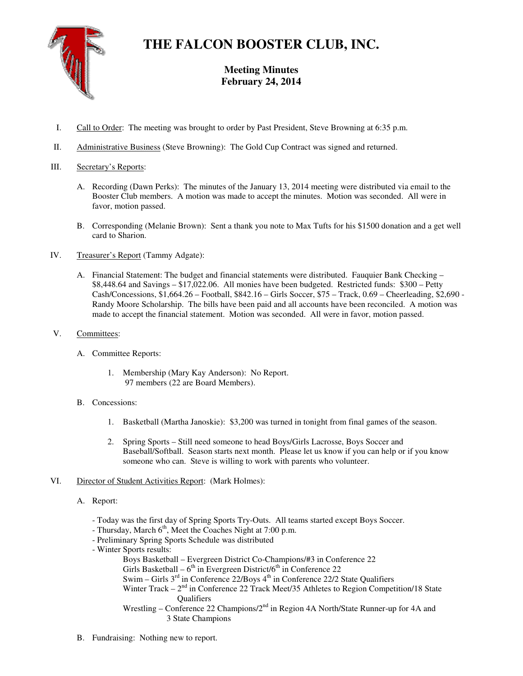

# **THE FALCON BOOSTER CLUB, INC.**

# **Meeting Minutes February 24, 2014**

- I. Call to Order: The meeting was brought to order by Past President, Steve Browning at 6:35 p.m.
- II. Administrative Business (Steve Browning): The Gold Cup Contract was signed and returned.

## III. Secretary's Reports:

- A. Recording (Dawn Perks): The minutes of the January 13, 2014 meeting were distributed via email to the Booster Club members. A motion was made to accept the minutes. Motion was seconded. All were in favor, motion passed.
- B. Corresponding (Melanie Brown): Sent a thank you note to Max Tufts for his \$1500 donation and a get well card to Sharion.
- IV. Treasurer's Report (Tammy Adgate):
	- A. Financial Statement: The budget and financial statements were distributed. Fauquier Bank Checking \$8,448.64 and Savings – \$17,022.06. All monies have been budgeted. Restricted funds: \$300 – Petty Cash/Concessions, \$1,664.26 – Football, \$842.16 – Girls Soccer, \$75 – Track, 0.69 – Cheerleading, \$2,690 - Randy Moore Scholarship. The bills have been paid and all accounts have been reconciled. A motion was made to accept the financial statement. Motion was seconded. All were in favor, motion passed.
- V. Committees:
	- A. Committee Reports:
		- 1. Membership (Mary Kay Anderson): No Report. 97 members (22 are Board Members).
	- B. Concessions:
		- 1. Basketball (Martha Janoskie): \$3,200 was turned in tonight from final games of the season.
		- 2. Spring Sports Still need someone to head Boys/Girls Lacrosse, Boys Soccer and Baseball/Softball. Season starts next month. Please let us know if you can help or if you know someone who can. Steve is willing to work with parents who volunteer.
- VI. Director of Student Activities Report: (Mark Holmes):
	- A. Report:
		- Today was the first day of Spring Sports Try-Outs. All teams started except Boys Soccer.
		- Thursday, March  $6<sup>th</sup>$ , Meet the Coaches Night at 7:00 p.m.
		- Preliminary Spring Sports Schedule was distributed
		- Winter Sports results:

```
 Boys Basketball – Evergreen District Co-Champions/#3 in Conference 22
```
Girls Basketball –  $6<sup>th</sup>$  in Evergreen District/ $6<sup>th</sup>$  in Conference 22

- Swim Girls  $3<sup>rd</sup>$  in Conference 22/Boys  $4<sup>th</sup>$  in Conference 22/2 State Qualifiers
- Winter Track  $-2<sup>nd</sup>$  in Conference 22 Track Meet/35 Athletes to Region Competition/18 State **Oualifiers**
- Wrestling Conference 22 Champions/2<sup>nd</sup> in Region 4A North/State Runner-up for 4A and 3 State Champions
- B. Fundraising: Nothing new to report.